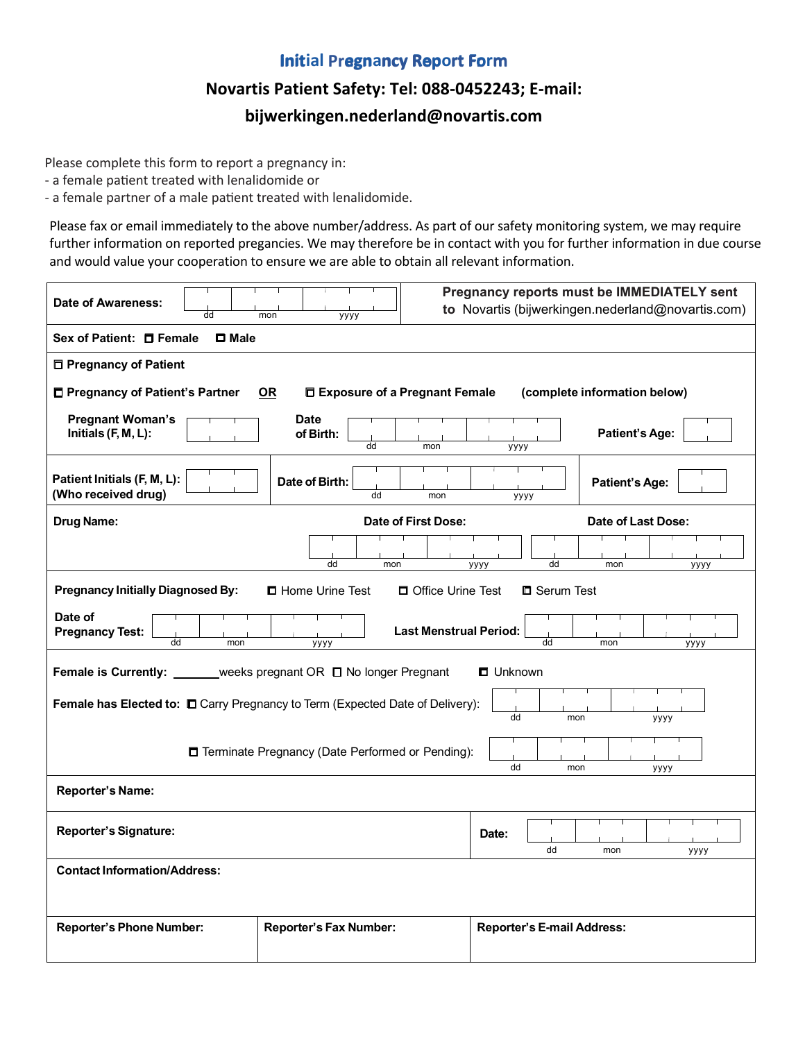## **Initial Pregnancy Report Form**

## **Novartis Patient Safety: Tel: 088-0452243; E-mail: bijwerkingen.nederland@novartis.com**

Please complete this form to report a pregnancy in: Please complete this form to report a pregnancy in:

- a female patient treated with lenalidomide or - a female patient treated with lenalidomide or

- a female partner of a male patient treated with lenalidomide. - a female partner of a male patient treated with lenalidomide.

Please fax or email immediately to the above number/address. As part of our safety monitoring system, we may require further information on reported pregancies. We may therefore be in contact with you for further information in due course and would value your cooperation to ensure we are able to obtain all relevant information.

| <b>Date of Awareness:</b><br>dd                                                                                          | mon<br>уууу                    | Pregnancy reports must be IMMEDIATELY sent<br>to Novartis (bijwerkingen.nederland@novartis.com) |                       |  |
|--------------------------------------------------------------------------------------------------------------------------|--------------------------------|-------------------------------------------------------------------------------------------------|-----------------------|--|
| Sex of Patient: □ Female<br>$\square$ Male                                                                               |                                |                                                                                                 |                       |  |
| □ Pregnancy of Patient                                                                                                   |                                |                                                                                                 |                       |  |
| □ Pregnancy of Patient's Partner<br>Exposure of a Pregnant Female<br>(complete information below)<br><u>OR</u>           |                                |                                                                                                 |                       |  |
| <b>Pregnant Woman's</b><br>Initials (F, M, L):                                                                           | <b>Date</b><br>of Birth:<br>dd | mon<br>уууу                                                                                     | <b>Patient's Age:</b> |  |
| Patient Initials (F, M, L):<br>(Who received drug)                                                                       | Date of Birth:<br>dd           | mon<br>уууу                                                                                     | <b>Patient's Age:</b> |  |
| <b>Drug Name:</b>                                                                                                        |                                | Date of First Dose:                                                                             | Date of Last Dose:    |  |
|                                                                                                                          | dd<br>mon                      | dd<br>уууу                                                                                      | mon<br>уууу           |  |
| <b>Pregnancy Initially Diagnosed By:</b><br><b>D</b> Home Urine Test<br>□ Office Urine Test<br><b>D</b> Serum Test       |                                |                                                                                                 |                       |  |
| Date of<br><b>Last Menstrual Period:</b><br><b>Pregnancy Test:</b><br>$\overline{d}$<br>dd<br>mon<br>mon<br>уууу<br>уууу |                                |                                                                                                 |                       |  |
| _weeks pregnant OR □ No longer Pregnant<br><b>Female is Currently:</b><br><b>O</b> Unknown                               |                                |                                                                                                 |                       |  |
| Female has Elected to: $\square$ Carry Pregnancy to Term (Expected Date of Delivery):<br>dd<br>mon<br>уууу               |                                |                                                                                                 |                       |  |
| □ Terminate Pregnancy (Date Performed or Pending):<br>dd<br>mon<br>уууу                                                  |                                |                                                                                                 |                       |  |
| <b>Reporter's Name:</b>                                                                                                  |                                |                                                                                                 |                       |  |
| <b>Reporter's Signature:</b>                                                                                             |                                | Date:<br>dd                                                                                     | mon<br>уууу           |  |
| <b>Contact Information/Address:</b>                                                                                      |                                |                                                                                                 |                       |  |
| <b>Reporter's Phone Number:</b>                                                                                          | <b>Reporter's Fax Number:</b>  | <b>Reporter's E-mail Address:</b>                                                               |                       |  |